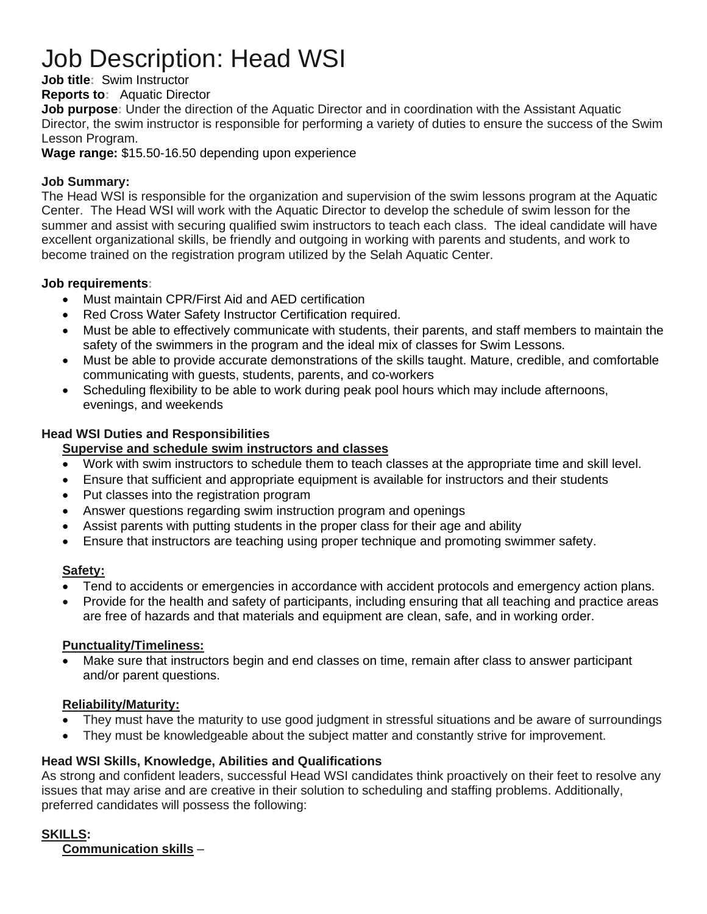# Job Description: Head WSI

#### **Job title:** Swim Instructor

**Reports to:** Aquatic Director

**Job purpose:** Under the direction of the Aquatic Director and in coordination with the Assistant Aquatic Director, the swim instructor is responsible for performing a variety of duties to ensure the success of the Swim Lesson Program.

**Wage range:** \$15.50-16.50 depending upon experience

#### **Job Summary:**

The Head WSI is responsible for the organization and supervision of the swim lessons program at the Aquatic Center. The Head WSI will work with the Aquatic Director to develop the schedule of swim lesson for the summer and assist with securing qualified swim instructors to teach each class. The ideal candidate will have excellent organizational skills, be friendly and outgoing in working with parents and students, and work to become trained on the registration program utilized by the Selah Aquatic Center.

#### **Job requirements:**

- Must maintain CPR/First Aid and AED certification
- Red Cross Water Safety Instructor Certification required.
- Must be able to effectively communicate with students, their parents, and staff members to maintain the safety of the swimmers in the program and the ideal mix of classes for Swim Lessons.
- Must be able to provide accurate demonstrations of the skills taught. Mature, credible, and comfortable communicating with guests, students, parents, and co-workers
- Scheduling flexibility to be able to work during peak pool hours which may include afternoons, evenings, and weekends

#### **Head WSI Duties and Responsibilities**

#### **Supervise and schedule swim instructors and classes**

- Work with swim instructors to schedule them to teach classes at the appropriate time and skill level.
- Ensure that sufficient and appropriate equipment is available for instructors and their students
- Put classes into the registration program
- Answer questions regarding swim instruction program and openings
- Assist parents with putting students in the proper class for their age and ability
- Ensure that instructors are teaching using proper technique and promoting swimmer safety.

#### **Safety:**

- Tend to accidents or emergencies in accordance with accident protocols and emergency action plans.
- Provide for the health and safety of participants, including ensuring that all teaching and practice areas are free of hazards and that materials and equipment are clean, safe, and in working order.

#### **Punctuality/Timeliness:**

• Make sure that instructors begin and end classes on time, remain after class to answer participant and/or parent questions.

#### **Reliability/Maturity:**

- They must have the maturity to use good judgment in stressful situations and be aware of surroundings
- They must be knowledgeable about the subject matter and constantly strive for improvement.

#### **Head WSI Skills, Knowledge, Abilities and Qualifications**

As strong and confident leaders, successful Head WSI candidates think proactively on their feet to resolve any issues that may arise and are creative in their solution to scheduling and staffing problems. Additionally, preferred candidates will possess the following:

#### **SKILLS:**

**Communication skills** –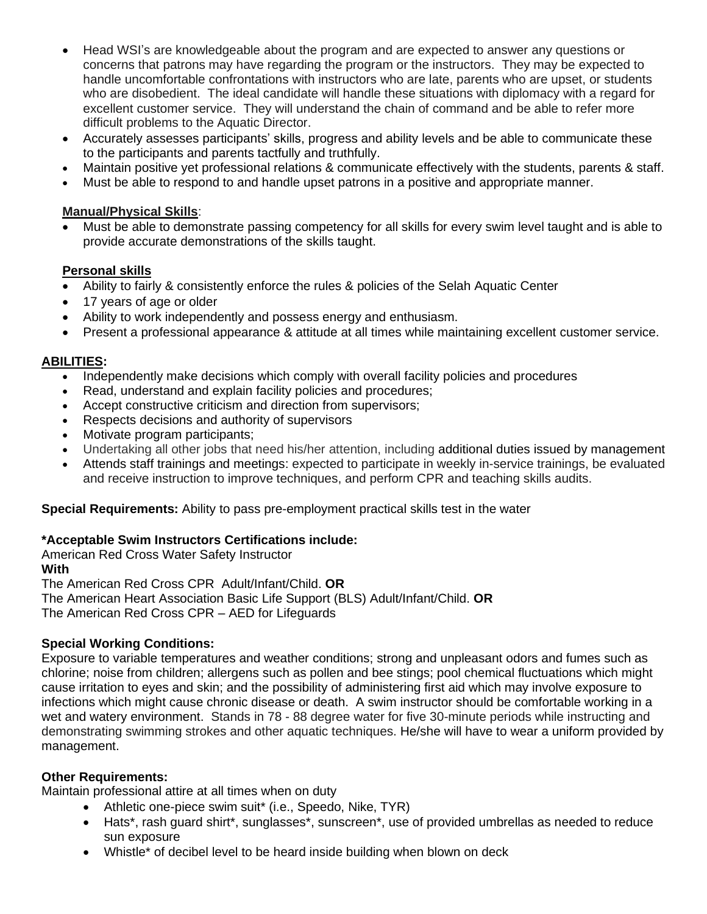- Head WSI's are knowledgeable about the program and are expected to answer any questions or concerns that patrons may have regarding the program or the instructors. They may be expected to handle uncomfortable confrontations with instructors who are late, parents who are upset, or students who are disobedient. The ideal candidate will handle these situations with diplomacy with a regard for excellent customer service. They will understand the chain of command and be able to refer more difficult problems to the Aquatic Director.
- Accurately assesses participants' skills, progress and ability levels and be able to communicate these to the participants and parents tactfully and truthfully.
- Maintain positive yet professional relations & communicate effectively with the students, parents & staff.
- Must be able to respond to and handle upset patrons in a positive and appropriate manner.

### **Manual/Physical Skills**:

• Must be able to demonstrate passing competency for all skills for every swim level taught and is able to provide accurate demonstrations of the skills taught.

# **Personal skills**

- Ability to fairly & consistently enforce the rules & policies of the Selah Aquatic Center
- 17 years of age or older
- Ability to work independently and possess energy and enthusiasm.
- Present a professional appearance & attitude at all times while maintaining excellent customer service.

# **ABILITIES:**

- Independently make decisions which comply with overall facility policies and procedures
- Read, understand and explain facility policies and procedures;
- Accept constructive criticism and direction from supervisors;
- Respects decisions and authority of supervisors
- Motivate program participants;
- Undertaking all other jobs that need his/her attention, including additional duties issued by management
- Attends staff trainings and meetings: expected to participate in weekly in-service trainings, be evaluated and receive instruction to improve techniques, and perform CPR and teaching skills audits.

**Special Requirements:** Ability to pass pre-employment practical skills test in the water

# **\*Acceptable Swim Instructors Certifications include:**

American Red Cross Water Safety Instructor **With** The American Red Cross CPR Adult/Infant/Child. **OR** The American Heart Association Basic Life Support (BLS) Adult/Infant/Child. **OR**  The American Red Cross CPR – AED for Lifeguards

#### **Special Working Conditions:**

Exposure to variable temperatures and weather conditions; strong and unpleasant odors and fumes such as chlorine; noise from children; allergens such as pollen and bee stings; pool chemical fluctuations which might cause irritation to eyes and skin; and the possibility of administering first aid which may involve exposure to infections which might cause chronic disease or death. A swim instructor should be comfortable working in a wet and watery environment. Stands in 78 - 88 degree water for five 30-minute periods while instructing and demonstrating swimming strokes and other aquatic techniques. He/she will have to wear a uniform provided by management.

#### **Other Requirements:**

Maintain professional attire at all times when on duty

- Athletic one-piece swim suit\* (i.e., Speedo, Nike, TYR)
- Hats\*, rash guard shirt\*, sunglasses\*, sunscreen\*, use of provided umbrellas as needed to reduce sun exposure
- Whistle\* of decibel level to be heard inside building when blown on deck